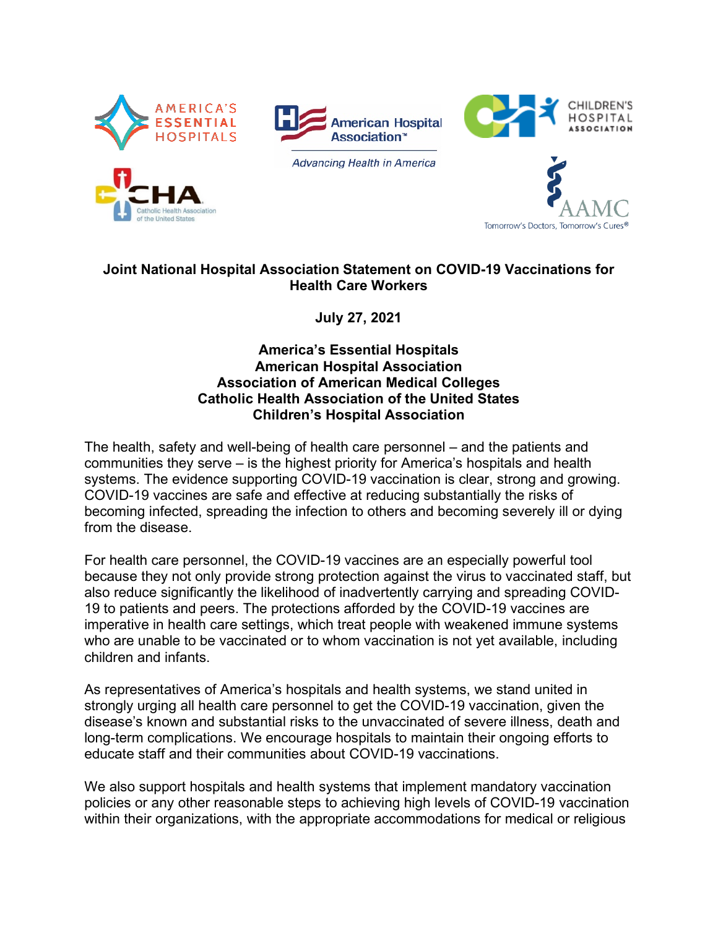





**Advancing Health in America** 



## **Joint National Hospital Association Statement on COVID-19 Vaccinations for Health Care Workers**

**July 27, 2021**

## **America's Essential Hospitals American Hospital Association Association of American Medical Colleges Catholic Health Association of the United States Children's Hospital Association**

The health, safety and well-being of health care personnel – and the patients and communities they serve – is the highest priority for America's hospitals and health systems. The evidence supporting COVID-19 vaccination is clear, strong and growing. COVID-19 vaccines are safe and effective at reducing substantially the risks of becoming infected, spreading the infection to others and becoming severely ill or dying from the disease.

For health care personnel, the COVID-19 vaccines are an especially powerful tool because they not only provide strong protection against the virus to vaccinated staff, but also reduce significantly the likelihood of inadvertently carrying and spreading COVID-19 to patients and peers. The protections afforded by the COVID-19 vaccines are imperative in health care settings, which treat people with weakened immune systems who are unable to be vaccinated or to whom vaccination is not yet available, including children and infants.

As representatives of America's hospitals and health systems, we stand united in strongly urging all health care personnel to get the COVID-19 vaccination, given the disease's known and substantial risks to the unvaccinated of severe illness, death and long-term complications. We encourage hospitals to maintain their ongoing efforts to educate staff and their communities about COVID-19 vaccinations.

We also support hospitals and health systems that implement mandatory vaccination policies or any other reasonable steps to achieving high levels of COVID-19 vaccination within their organizations, with the appropriate accommodations for medical or religious